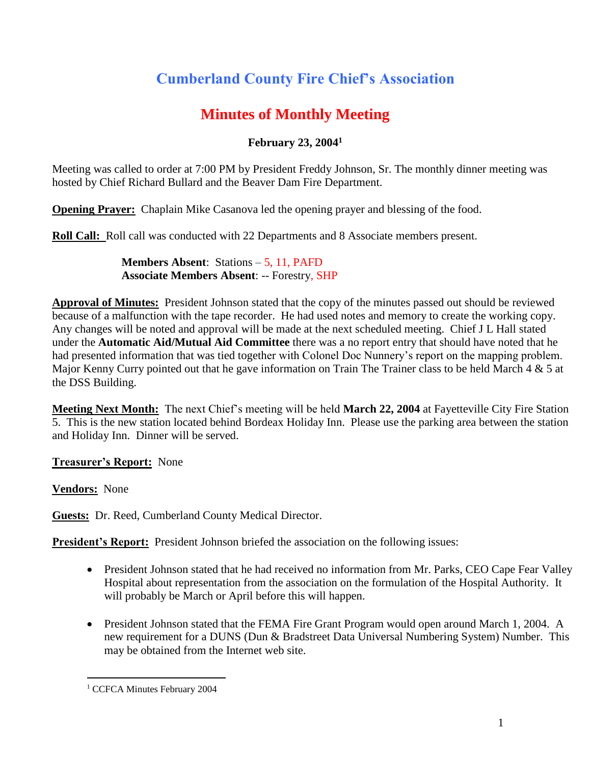# **Cumberland County Fire Chief's Association**

# **Minutes of Monthly Meeting**

# **February 23, 2004<sup>1</sup>**

Meeting was called to order at 7:00 PM by President Freddy Johnson, Sr. The monthly dinner meeting was hosted by Chief Richard Bullard and the Beaver Dam Fire Department.

**Opening Prayer:** Chaplain Mike Casanova led the opening prayer and blessing of the food.

**Roll Call:** Roll call was conducted with 22 Departments and 8 Associate members present.

**Members Absent**: Stations – 5, 11, PAFD **Associate Members Absent**: -- Forestry, SHP

**Approval of Minutes:** President Johnson stated that the copy of the minutes passed out should be reviewed because of a malfunction with the tape recorder. He had used notes and memory to create the working copy. Any changes will be noted and approval will be made at the next scheduled meeting. Chief J L Hall stated under the **Automatic Aid/Mutual Aid Committee** there was a no report entry that should have noted that he had presented information that was tied together with Colonel Doc Nunnery's report on the mapping problem. Major Kenny Curry pointed out that he gave information on Train The Trainer class to be held March 4 & 5 at the DSS Building.

**Meeting Next Month:** The next Chief's meeting will be held **March 22, 2004** at Fayetteville City Fire Station 5. This is the new station located behind Bordeax Holiday Inn. Please use the parking area between the station and Holiday Inn. Dinner will be served.

**Treasurer's Report:** None

**Vendors:** None

**Guests:** Dr. Reed, Cumberland County Medical Director.

**President's Report:** President Johnson briefed the association on the following issues:

- President Johnson stated that he had received no information from Mr. Parks, CEO Cape Fear Valley Hospital about representation from the association on the formulation of the Hospital Authority. It will probably be March or April before this will happen.
- President Johnson stated that the FEMA Fire Grant Program would open around March 1, 2004. A new requirement for a DUNS (Dun & Bradstreet Data Universal Numbering System) Number. This may be obtained from the Internet web site.

 $\overline{a}$ <sup>1</sup> CCFCA Minutes February 2004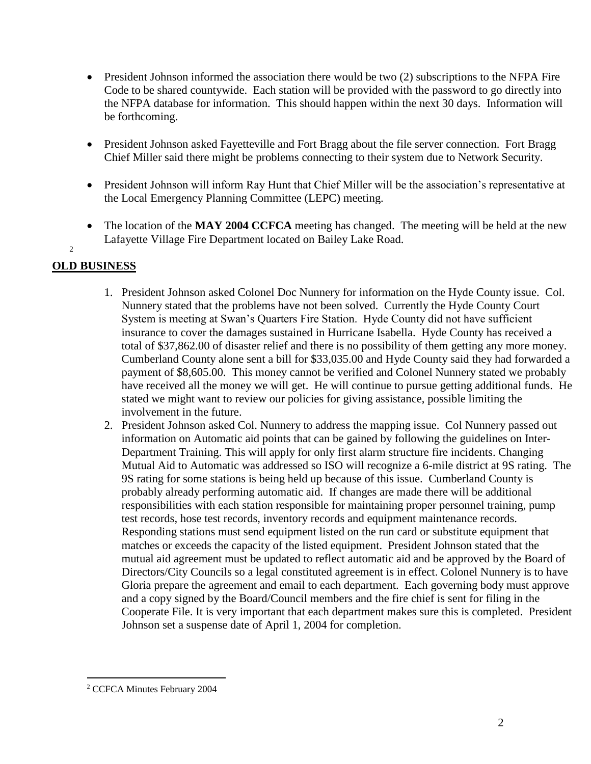- $\bullet$  President Johnson informed the association there would be two (2) subscriptions to the NFPA Fire Code to be shared countywide. Each station will be provided with the password to go directly into the NFPA database for information. This should happen within the next 30 days. Information will be forthcoming.
- President Johnson asked Fayetteville and Fort Bragg about the file server connection. Fort Bragg Chief Miller said there might be problems connecting to their system due to Network Security.
- President Johnson will inform Ray Hunt that Chief Miller will be the association's representative at the Local Emergency Planning Committee (LEPC) meeting.
- The location of the **MAY 2004 CCFCA** meeting has changed. The meeting will be held at the new Lafayette Village Fire Department located on Bailey Lake Road.

## **OLD BUSINESS**

 $\mathfrak{Z}$ 

- 1. President Johnson asked Colonel Doc Nunnery for information on the Hyde County issue. Col. Nunnery stated that the problems have not been solved. Currently the Hyde County Court System is meeting at Swan's Quarters Fire Station. Hyde County did not have sufficient insurance to cover the damages sustained in Hurricane Isabella. Hyde County has received a total of \$37,862.00 of disaster relief and there is no possibility of them getting any more money. Cumberland County alone sent a bill for \$33,035.00 and Hyde County said they had forwarded a payment of \$8,605.00. This money cannot be verified and Colonel Nunnery stated we probably have received all the money we will get. He will continue to pursue getting additional funds. He stated we might want to review our policies for giving assistance, possible limiting the involvement in the future.
- 2. President Johnson asked Col. Nunnery to address the mapping issue. Col Nunnery passed out information on Automatic aid points that can be gained by following the guidelines on Inter-Department Training. This will apply for only first alarm structure fire incidents. Changing Mutual Aid to Automatic was addressed so ISO will recognize a 6-mile district at 9S rating. The 9S rating for some stations is being held up because of this issue. Cumberland County is probably already performing automatic aid. If changes are made there will be additional responsibilities with each station responsible for maintaining proper personnel training, pump test records, hose test records, inventory records and equipment maintenance records. Responding stations must send equipment listed on the run card or substitute equipment that matches or exceeds the capacity of the listed equipment. President Johnson stated that the mutual aid agreement must be updated to reflect automatic aid and be approved by the Board of Directors/City Councils so a legal constituted agreement is in effect. Colonel Nunnery is to have Gloria prepare the agreement and email to each department. Each governing body must approve and a copy signed by the Board/Council members and the fire chief is sent for filing in the Cooperate File. It is very important that each department makes sure this is completed. President Johnson set a suspense date of April 1, 2004 for completion.

 $\overline{a}$ 

<sup>2</sup> CCFCA Minutes February 2004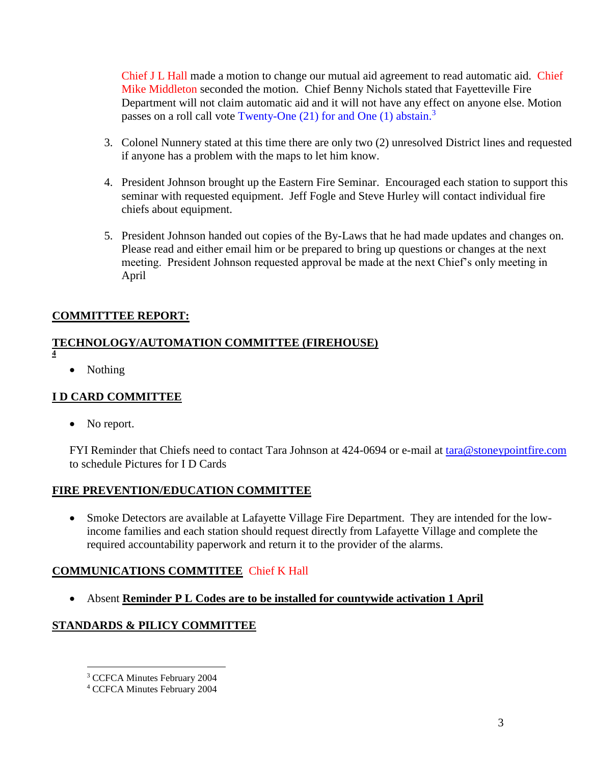Chief J L Hall made a motion to change our mutual aid agreement to read automatic aid. Chief Mike Middleton seconded the motion. Chief Benny Nichols stated that Fayetteville Fire Department will not claim automatic aid and it will not have any effect on anyone else. Motion passes on a roll call vote Twenty-One (21) for and One (1) abstain.<sup>3</sup>

- 3. Colonel Nunnery stated at this time there are only two (2) unresolved District lines and requested if anyone has a problem with the maps to let him know.
- 4. President Johnson brought up the Eastern Fire Seminar. Encouraged each station to support this seminar with requested equipment. Jeff Fogle and Steve Hurley will contact individual fire chiefs about equipment.
- 5. President Johnson handed out copies of the By-Laws that he had made updates and changes on. Please read and either email him or be prepared to bring up questions or changes at the next meeting. President Johnson requested approval be made at the next Chief's only meeting in April

#### **COMMITTTEE REPORT:**

#### **TECHNOLOGY/AUTOMATION COMMITTEE (FIREHOUSE) 4**

• Nothing

#### **I D CARD COMMITTEE**

• No report.

 $\overline{a}$ 

FYI Reminder that Chiefs need to contact Tara Johnson at 424-0694 or e-mail at [tara@stoneypointfire.com](mailto:tara@stoneypointfire.com) to schedule Pictures for I D Cards

#### **FIRE PREVENTION/EDUCATION COMMITTEE**

 Smoke Detectors are available at Lafayette Village Fire Department. They are intended for the lowincome families and each station should request directly from Lafayette Village and complete the required accountability paperwork and return it to the provider of the alarms.

#### **COMMUNICATIONS COMMTITEE** Chief K Hall

Absent **Reminder P L Codes are to be installed for countywide activation 1 April** 

#### **STANDARDS & PILICY COMMITTEE**

<sup>3</sup> CCFCA Minutes February 2004

<sup>4</sup> CCFCA Minutes February 2004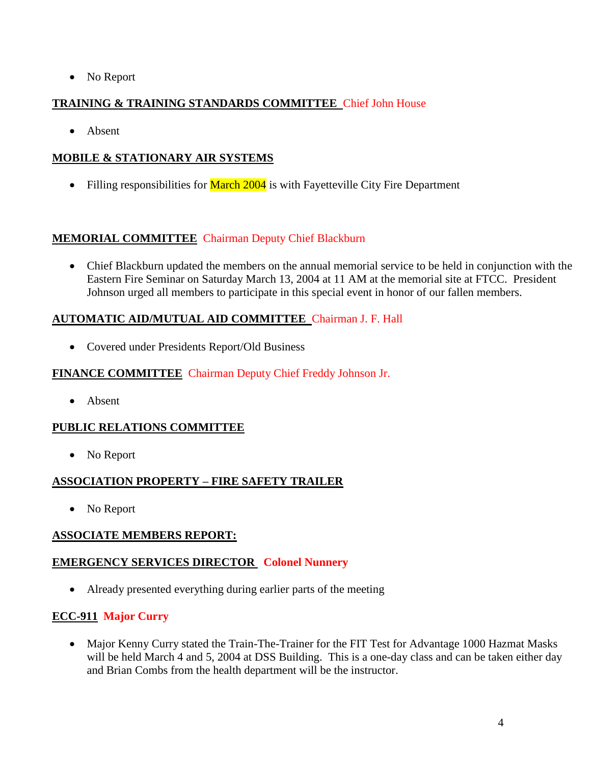• No Report

### **TRAINING & TRAINING STANDARDS COMMITTEE** Chief John House

• Absent

## **MOBILE & STATIONARY AIR SYSTEMS**

• Filling responsibilities for **March 2004** is with Fayetteville City Fire Department

## **MEMORIAL COMMITTEE** Chairman Deputy Chief Blackburn

 Chief Blackburn updated the members on the annual memorial service to be held in conjunction with the Eastern Fire Seminar on Saturday March 13, 2004 at 11 AM at the memorial site at FTCC. President Johnson urged all members to participate in this special event in honor of our fallen members.

#### **AUTOMATIC AID/MUTUAL AID COMMITTEE** Chairman J. F. Hall

Covered under Presidents Report/Old Business

#### **FINANCE COMMITTEE** Chairman Deputy Chief Freddy Johnson Jr.

• Absent

#### **PUBLIC RELATIONS COMMITTEE**

• No Report

#### **ASSOCIATION PROPERTY – FIRE SAFETY TRAILER**

• No Report

#### **ASSOCIATE MEMBERS REPORT:**

#### **EMERGENCY SERVICES DIRECTOR Colonel Nunnery**

Already presented everything during earlier parts of the meeting

#### **ECC-911 Major Curry**

• Major Kenny Curry stated the Train-The-Trainer for the FIT Test for Advantage 1000 Hazmat Masks will be held March 4 and 5, 2004 at DSS Building. This is a one-day class and can be taken either day and Brian Combs from the health department will be the instructor.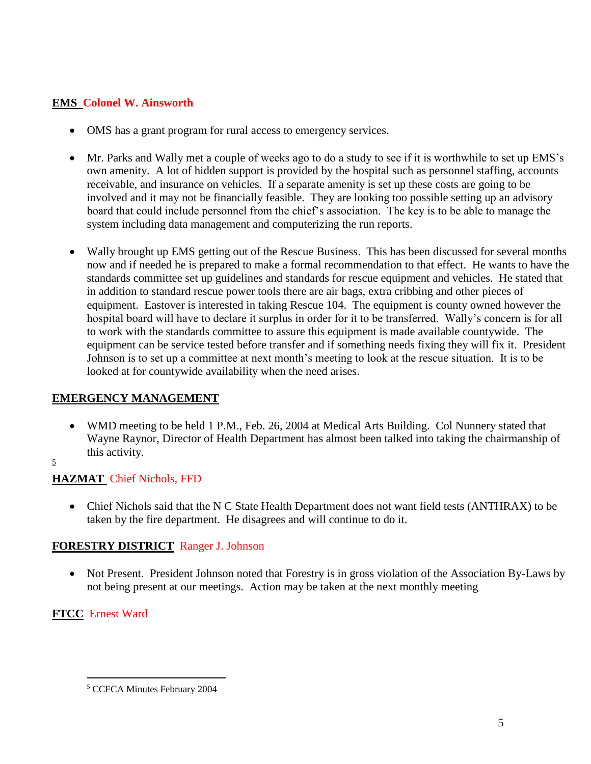#### **EMS Colonel W. Ainsworth**

- OMS has a grant program for rural access to emergency services.
- Mr. Parks and Wally met a couple of weeks ago to do a study to see if it is worthwhile to set up EMS's own amenity. A lot of hidden support is provided by the hospital such as personnel staffing, accounts receivable, and insurance on vehicles. If a separate amenity is set up these costs are going to be involved and it may not be financially feasible. They are looking too possible setting up an advisory board that could include personnel from the chief's association. The key is to be able to manage the system including data management and computerizing the run reports.
- Wally brought up EMS getting out of the Rescue Business. This has been discussed for several months now and if needed he is prepared to make a formal recommendation to that effect. He wants to have the standards committee set up guidelines and standards for rescue equipment and vehicles. He stated that in addition to standard rescue power tools there are air bags, extra cribbing and other pieces of equipment. Eastover is interested in taking Rescue 104. The equipment is county owned however the hospital board will have to declare it surplus in order for it to be transferred. Wally's concern is for all to work with the standards committee to assure this equipment is made available countywide. The equipment can be service tested before transfer and if something needs fixing they will fix it. President Johnson is to set up a committee at next month's meeting to look at the rescue situation. It is to be looked at for countywide availability when the need arises.

#### **EMERGENCY MANAGEMENT**

- WMD meeting to be held 1 P.M., Feb. 26, 2004 at Medical Arts Building. Col Nunnery stated that Wayne Raynor, Director of Health Department has almost been talked into taking the chairmanship of this activity.
- 5

# **HAZMAT** Chief Nichols, FFD

 Chief Nichols said that the N C State Health Department does not want field tests (ANTHRAX) to be taken by the fire department. He disagrees and will continue to do it.

# **FORESTRY DISTRICT** Ranger J. Johnson

• Not Present. President Johnson noted that Forestry is in gross violation of the Association By-Laws by not being present at our meetings. Action may be taken at the next monthly meeting

# **FTCC** Ernest Ward

 $\overline{a}$ <sup>5</sup> CCFCA Minutes February 2004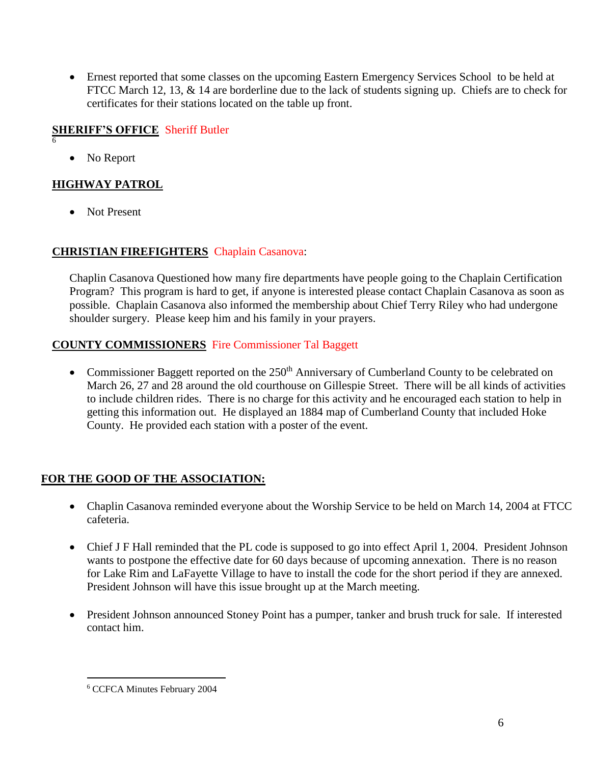Ernest reported that some classes on the upcoming Eastern Emergency Services School to be held at FTCC March 12, 13, & 14 are borderline due to the lack of students signing up. Chiefs are to check for certificates for their stations located on the table up front.

#### **SHERIFF'S OFFICE** Sheriff Butler 6

• No Report

#### **HIGHWAY PATROL**

• Not Present

#### **CHRISTIAN FIREFIGHTERS** Chaplain Casanova:

Chaplin Casanova Questioned how many fire departments have people going to the Chaplain Certification Program? This program is hard to get, if anyone is interested please contact Chaplain Casanova as soon as possible. Chaplain Casanova also informed the membership about Chief Terry Riley who had undergone shoulder surgery. Please keep him and his family in your prayers.

#### **COUNTY COMMISSIONERS** Fire Commissioner Tal Baggett

• Commissioner Baggett reported on the 250<sup>th</sup> Anniversary of Cumberland County to be celebrated on March 26, 27 and 28 around the old courthouse on Gillespie Street. There will be all kinds of activities to include children rides. There is no charge for this activity and he encouraged each station to help in getting this information out. He displayed an 1884 map of Cumberland County that included Hoke County. He provided each station with a poster of the event.

#### **FOR THE GOOD OF THE ASSOCIATION:**

- Chaplin Casanova reminded everyone about the Worship Service to be held on March 14, 2004 at FTCC cafeteria.
- Chief J F Hall reminded that the PL code is supposed to go into effect April 1, 2004. President Johnson wants to postpone the effective date for 60 days because of upcoming annexation. There is no reason for Lake Rim and LaFayette Village to have to install the code for the short period if they are annexed. President Johnson will have this issue brought up at the March meeting.
- President Johnson announced Stoney Point has a pumper, tanker and brush truck for sale. If interested contact him.

 $\overline{a}$ 

<sup>6</sup> CCFCA Minutes February 2004